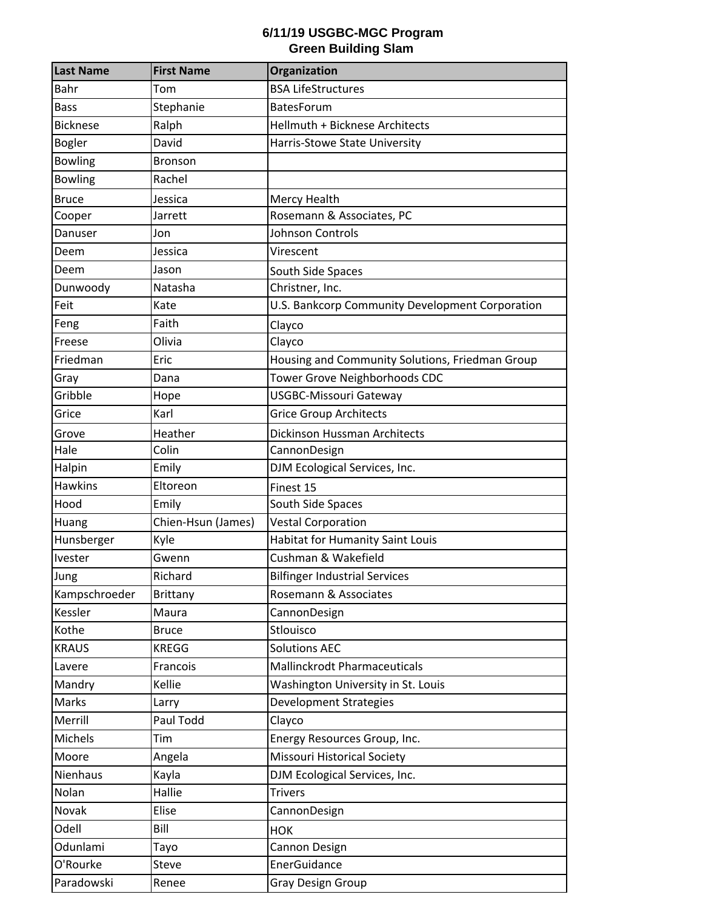## **6/11/19 USGBC-MGC Program Green Building Slam**

| <b>Last Name</b> | <b>First Name</b>  | Organization                                    |
|------------------|--------------------|-------------------------------------------------|
| Bahr             | Tom                | <b>BSA LifeStructures</b>                       |
| <b>Bass</b>      | Stephanie          | BatesForum                                      |
| <b>Bicknese</b>  | Ralph              | Hellmuth + Bicknese Architects                  |
| <b>Bogler</b>    | David              | Harris-Stowe State University                   |
| <b>Bowling</b>   | <b>Bronson</b>     |                                                 |
| <b>Bowling</b>   | Rachel             |                                                 |
| <b>Bruce</b>     | Jessica            | Mercy Health                                    |
| Cooper           | Jarrett            | Rosemann & Associates, PC                       |
| Danuser          | Jon                | Johnson Controls                                |
| Deem             | Jessica            | Virescent                                       |
| Deem             | Jason              | South Side Spaces                               |
| Dunwoody         | Natasha            | Christner, Inc.                                 |
| Feit             | Kate               | U.S. Bankcorp Community Development Corporation |
| Feng             | Faith              | Clayco                                          |
| Freese           | Olivia             | Clayco                                          |
| Friedman         | Eric               | Housing and Community Solutions, Friedman Group |
| Gray             | Dana               | Tower Grove Neighborhoods CDC                   |
| Gribble          | Hope               | <b>USGBC-Missouri Gateway</b>                   |
| Grice            | Karl               | <b>Grice Group Architects</b>                   |
| Grove            | Heather            | Dickinson Hussman Architects                    |
| Hale             | Colin              | CannonDesign                                    |
| Halpin           | Emily              | DJM Ecological Services, Inc.                   |
| <b>Hawkins</b>   | Eltoreon           | Finest 15                                       |
| Hood             | Emily              | South Side Spaces                               |
| Huang            | Chien-Hsun (James) | <b>Vestal Corporation</b>                       |
| Hunsberger       | Kyle               | <b>Habitat for Humanity Saint Louis</b>         |
| Ivester          | Gwenn              | Cushman & Wakefield                             |
| Jung             | Richard            | <b>Bilfinger Industrial Services</b>            |
| Kampschroeder    | <b>Brittany</b>    | Rosemann & Associates                           |
| Kessler          | Maura              | CannonDesign                                    |
| Kothe            | <b>Bruce</b>       | Stlouisco                                       |
| <b>KRAUS</b>     | <b>KREGG</b>       | <b>Solutions AEC</b>                            |
| Lavere           | Francois           | Mallinckrodt Pharmaceuticals                    |
| Mandry           | Kellie             | Washington University in St. Louis              |
| Marks            | Larry              | <b>Development Strategies</b>                   |
| Merrill          | Paul Todd          | Clayco                                          |
| Michels          | Tim                | Energy Resources Group, Inc.                    |
| Moore            | Angela             | Missouri Historical Society                     |
| Nienhaus         | Kayla              | DJM Ecological Services, Inc.                   |
| Nolan            | Hallie             | <b>Trivers</b>                                  |
| Novak            | Elise              | CannonDesign                                    |
| Odell            | Bill               | <b>HOK</b>                                      |
| Odunlami         | Tayo               | Cannon Design                                   |
| O'Rourke         | <b>Steve</b>       | EnerGuidance                                    |
| Paradowski       | Renee              | Gray Design Group                               |